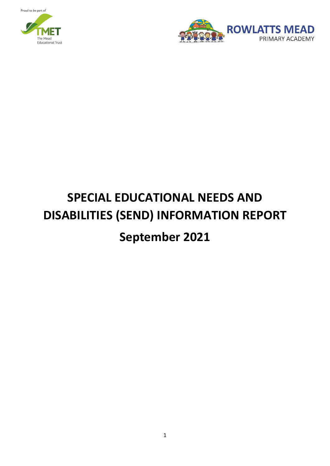Proud to be part of





# **SPECIAL EDUCATIONAL NEEDS AND DISABILITIES (SEND) INFORMATION REPORT September 2021**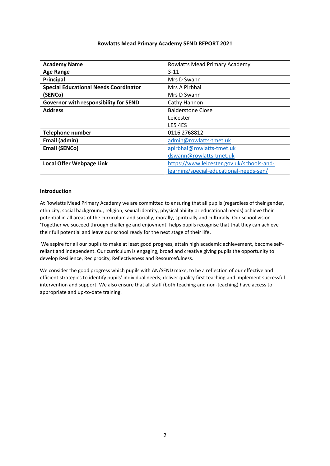#### **Rowlatts Mead Primary Academy SEND REPORT 2021**

| <b>Academy Name</b>                          | Rowlatts Mead Primary Academy             |
|----------------------------------------------|-------------------------------------------|
| <b>Age Range</b>                             | $3 - 11$                                  |
| Principal                                    | Mrs D Swann                               |
| <b>Special Educational Needs Coordinator</b> | Mrs A Pirbhai                             |
| (SENCo)                                      | Mrs D Swann                               |
| Governor with responsibility for SEND        | Cathy Hannon                              |
| <b>Address</b>                               | <b>Balderstone Close</b>                  |
|                                              | Leicester                                 |
|                                              | LE5 4ES                                   |
| <b>Telephone number</b>                      | 0116 2768812                              |
| Email (admin)                                | admin@rowlatts-tmet.uk                    |
| <b>Email (SENCo)</b>                         | apirbhai@rowlatts-tmet.uk                 |
|                                              | dswann@rowlatts-tmet.uk                   |
| Local Offer Webpage Link                     | https://www.leicester.gov.uk/schools-and- |
|                                              | learning/special-educational-needs-sen/   |

#### **Introduction**

At Rowlatts Mead Primary Academy we are committed to ensuring that all pupils (regardless of their gender, ethnicity, social background, religion, sexual identity, physical ability or educational needs) achieve their potential in all areas of the curriculum and socially, morally, spiritually and culturally. Our school vision 'Together we succeed through challenge and enjoyment' helps pupils recognise that that they can achieve their full potential and leave our school ready for the next stage of their life.

We aspire for all our pupils to make at least good progress, attain high academic achievement, become selfreliant and independent. Our curriculum is engaging, broad and creative giving pupils the opportunity to develop Resilience, Reciprocity, Reflectiveness and Resourcefulness.

We consider the good progress which pupils with AN/SEND make, to be a reflection of our effective and efficient strategies to identify pupils' individual needs; deliver quality first teaching and implement successful intervention and support. We also ensure that all staff (both teaching and non-teaching) have access to appropriate and up-to-date training.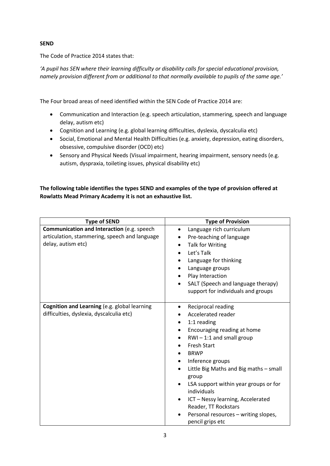# **SEND**

The Code of Practice 2014 states that:

*'A pupil has SEN where their learning difficulty or disability calls for special educational provision, namely provision different from or additional to that normally available to pupils of the same age.'*

The Four broad areas of need identified within the SEN Code of Practice 2014 are:

- Communication and Interaction (e.g. speech articulation, stammering, speech and language delay, autism etc)
- Cognition and Learning (e.g. global learning difficulties, dyslexia, dyscalculia etc)
- Social, Emotional and Mental Health Difficulties (e.g. anxiety, depression, eating disorders, obsessive, compulsive disorder (OCD) etc)
- Sensory and Physical Needs (Visual impairment, hearing impairment, sensory needs (e.g. autism, dyspraxia, toileting issues, physical disability etc)

# **The following table identifies the types SEND and examples of the type of provision offered at Rowlatts Mead Primary Academy it is not an exhaustive list.**

| <b>Type of SEND</b>                                                                                               | <b>Type of Provision</b>                                                                                                                                                                                                                                                                                                                                                                                                                     |
|-------------------------------------------------------------------------------------------------------------------|----------------------------------------------------------------------------------------------------------------------------------------------------------------------------------------------------------------------------------------------------------------------------------------------------------------------------------------------------------------------------------------------------------------------------------------------|
| Communication and Interaction (e.g. speech<br>articulation, stammering, speech and language<br>delay, autism etc) | Language rich curriculum<br>$\bullet$<br>Pre-teaching of language<br>Talk for Writing<br>Let's Talk<br>Language for thinking<br>Language groups<br>Play Interaction<br>SALT (Speech and language therapy)<br>support for individuals and groups                                                                                                                                                                                              |
| Cognition and Learning (e.g. global learning<br>difficulties, dyslexia, dyscalculia etc)                          | Reciprocal reading<br>$\bullet$<br>Accelerated reader<br>1:1 reading<br>Encouraging reading at home<br>$RWI - 1:1$ and small group<br><b>Fresh Start</b><br><b>BRWP</b><br>Inference groups<br>Little Big Maths and Big maths - small<br>group<br>LSA support within year groups or for<br>individuals<br>ICT - Nessy learning, Accelerated<br>$\bullet$<br>Reader, TT Rockstars<br>Personal resources - writing slopes,<br>pencil grips etc |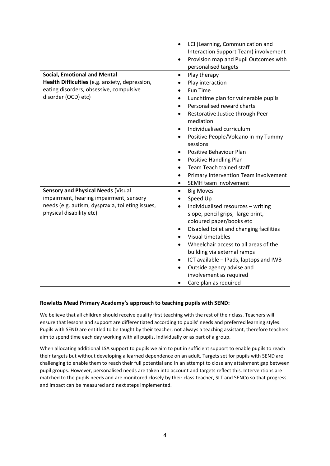|                                                  | LCI (Learning, Communication and<br>$\bullet$       |
|--------------------------------------------------|-----------------------------------------------------|
|                                                  | Interaction Support Team) involvement               |
|                                                  | Provision map and Pupil Outcomes with               |
|                                                  | personalised targets                                |
| <b>Social, Emotional and Mental</b>              | Play therapy<br>$\bullet$                           |
| Health Difficulties (e.g. anxiety, depression,   | Play interaction                                    |
| eating disorders, obsessive, compulsive          | <b>Fun Time</b>                                     |
| disorder (OCD) etc)                              | Lunchtime plan for vulnerable pupils                |
|                                                  | Personalised reward charts                          |
|                                                  | Restorative Justice through Peer<br>$\bullet$       |
|                                                  | mediation                                           |
|                                                  | Individualised curriculum<br>٠                      |
|                                                  | Positive People/Volcano in my Tummy                 |
|                                                  | sessions                                            |
|                                                  | Positive Behaviour Plan                             |
|                                                  | <b>Positive Handling Plan</b><br>$\bullet$          |
|                                                  | Team Teach trained staff                            |
|                                                  | Primary Intervention Team involvement               |
|                                                  | SEMH team involvement<br>$\bullet$                  |
| <b>Sensory and Physical Needs (Visual</b>        | <b>Big Moves</b><br>$\bullet$                       |
| impairment, hearing impairment, sensory          | Speed Up                                            |
| needs (e.g. autism, dyspraxia, toileting issues, | Individualised resources - writing<br>$\bullet$     |
| physical disability etc)                         | slope, pencil grips, large print,                   |
|                                                  | coloured paper/books etc                            |
|                                                  | Disabled toilet and changing facilities             |
|                                                  | Visual timetables                                   |
|                                                  | Wheelchair access to all areas of the               |
|                                                  | building via external ramps                         |
|                                                  | ICT available - IPads, laptops and IWB<br>$\bullet$ |
|                                                  | Outside agency advise and                           |
|                                                  | involvement as required                             |
|                                                  | Care plan as required<br>$\bullet$                  |

## **Rowlatts Mead Primary Academy's approach to teaching pupils with SEND:**

We believe that all children should receive quality first teaching with the rest of their class. Teachers will ensure that lessons and support are differentiated according to pupils' needs and preferred learning styles. Pupils with SEND are entitled to be taught by their teacher, not always a teaching assistant, therefore teachers aim to spend time each day working with all pupils, individually or as part of a group.

When allocating additional LSA support to pupils we aim to put in sufficient support to enable pupils to reach their targets but without developing a learned dependence on an adult. Targets set for pupils with SEND are challenging to enable them to reach their full potential and in an attempt to close any attainment gap between pupil groups. However, personalised needs are taken into account and targets reflect this. Interventions are matched to the pupils needs and are monitored closely by their class teacher, SLT and SENCo so that progress and impact can be measured and next steps implemented.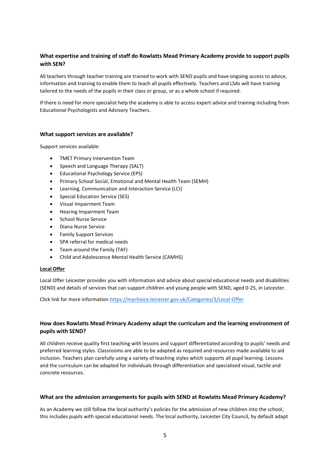# **What expertise and training of staff do Rowlatts Mead Primary Academy provide to support pupils with SEN?**

All teachers through teacher training are trained to work with SEND pupils and have ongoing access to advice, information and training to enable them to teach all pupils effectively. Teachers and LSAs will have training tailored to the needs of the pupils in their class or group, or as a whole school if required.

If there is need for more specialist help the academy is able to access expert advice and training including from Educational Psychologists and Advisory Teachers.

#### **What support services are available?**

Support services available:

- TMET Primary Intervention Team
- Speech and Language Therapy (SALT)
- Educational Psychology Service (EPS)
- Primary School Social, Emotional and Mental Health Team (SEMH)
- Learning, Communication and Interaction Service (LCI)
- Special Education Service (SES)
- Visual Impairment Team
- Hearing Impairment Team
- School Nurse Service
- Diana Nurse Service
- Family Support Services
- SPA referral for medical needs
- Team around the Family (TAF)
- Child and Adolescence Mental Health Service (CAMHS)

#### **Local Offer**

Local Offer Leicester provides you with information and advice about special educational needs and disabilities (SEND) and details of services that can support children and young people with SEND, aged 0-25, in Leicester.

Click link for more information<https://mychoice.leicester.gov.uk/Categories/3/Local-Offer>

## **How does Rowlatts Mead Primary Academy adapt the curriculum and the learning environment of pupils with SEND?**

All children receive quality first teaching with lessons and support differentiated according to pupils' needs and preferred learning styles. Classrooms are able to be adapted as required and resources made available to aid inclusion. Teachers plan carefully using a variety of teaching styles which supports all pupil learning. Lessons and the curriculum can be adapted for individuals through differentiation and specialised visual, tactile and concrete resources.

#### **What are the admission arrangements for pupils with SEND at Rowlatts Mead Primary Academy?**

As an Academy we still follow the local authority's policies for the admission of new children into the school, this includes pupils with special educational needs. The local authority, Leicester City Council, by default adapt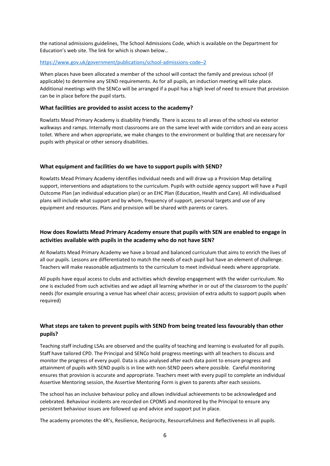the national admissions guidelines, The School Admissions Code, which is available on the Department for Education's web site. The link for which is shown below…

#### [https://www.gov.uk/government/publications/school-admissions-code](https://www.gov.uk/government/publications/school-admissions-code–2)–2

When places have been allocated a member of the school will contact the family and previous school (if applicable) to determine any SEND requirements. As for all pupils, an induction meeting will take place. Additional meetings with the SENCo will be arranged if a pupil has a high level of need to ensure that provision can be in place before the pupil starts.

#### **What facilities are provided to assist access to the academy?**

Rowlatts Mead Primary Academy is disability friendly. There is access to all areas of the school via exterior walkways and ramps. Internally most classrooms are on the same level with wide corridors and an easy access toilet. Where and when appropriate, we make changes to the environment or building that are necessary for pupils with physical or other sensory disabilities.

#### **What equipment and facilities do we have to support pupils with SEND?**

Rowlatts Mead Primary Academy identifies individual needs and will draw up a Provision Map detailing support, interventions and adaptations to the curriculum. Pupils with outside agency support will have a Pupil Outcome Plan (an individual education plan) or an EHC Plan (Education, Health and Care). All individualised plans will include what support and by whom, frequency of support, personal targets and use of any equipment and resources. Plans and provision will be shared with parents or carers.

## **How does Rowlatts Mead Primary Academy ensure that pupils with SEN are enabled to engage in activities available with pupils in the academy who do not have SEN?**

At Rowlatts Mead Primary Academy we have a broad and balanced curriculum that aims to enrich the lives of all our pupils. Lessons are differentiated to match the needs of each pupil but have an element of challenge. Teachers will make reasonable adjustments to the curriculum to meet individual needs where appropriate.

All pupils have equal access to clubs and activities which develop engagement with the wider curriculum. No one is excluded from such activities and we adapt all learning whether in or out of the classroom to the pupils' needs (for example ensuring a venue has wheel chair access; provision of extra adults to support pupils when required)

## **What steps are taken to prevent pupils with SEND from being treated less favourably than other pupils?**

Teaching staff including LSAs are observed and the quality of teaching and learning is evaluated for all pupils. Staff have tailored CPD. The Principal and SENCo hold progress meetings with all teachers to discuss and monitor the progress of every pupil. Data is also analysed after each data point to ensure progress and attainment of pupils with SEND pupils is in line with non-SEND peers where possible. Careful monitoring ensures that provision is accurate and appropriate. Teachers meet with every pupil to complete an individual Assertive Mentoring session, the Assertive Mentoring Form is given to parents after each sessions.

The school has an inclusive behaviour policy and allows individual achievements to be acknowledged and celebrated. Behaviour incidents are recorded on CPOMS and monitored by the Principal to ensure any persistent behaviour issues are followed up and advice and support put in place.

The academy promotes the 4R's, Resilience, Reciprocity, Resourcefulness and Reflectiveness in all pupils.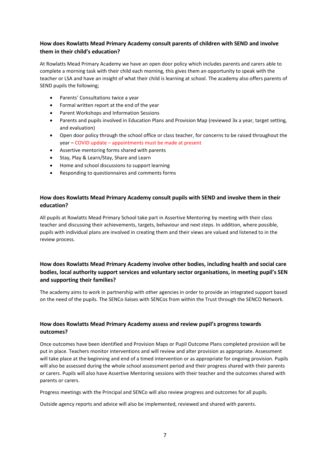# **How does Rowlatts Mead Primary Academy consult parents of children with SEND and involve them in their child's education?**

At Rowlatts Mead Primary Academy we have an open door policy which includes parents and carers able to complete a morning task with their child each morning, this gives them an opportunity to speak with the teacher or LSA and have an insight of what their child is learning at school. The academy also offers parents of SEND pupils the following;

- Parents' Consultations twice a year
- Formal written report at the end of the year
- Parent Workshops and Information Sessions
- Parents and pupils involved in Education Plans and Provision Map (reviewed 3x a year, target setting, and evaluation)
- Open door policy through the school office or class teacher, for concerns to be raised throughout the year – COVID update – appointments must be made at present
- Assertive mentoring forms shared with parents
- Stay, Play & Learn/Stay, Share and Learn
- Home and school discussions to support learning
- Responding to questionnaires and comments forms

## **How does Rowlatts Mead Primary Academy consult pupils with SEND and involve them in their education?**

All pupils at Rowlatts Mead Primary School take part in Assertive Mentoring by meeting with their class teacher and discussing their achievements, targets, behaviour and next steps. In addition, where possible, pupils with individual plans are involved in creating them and their views are valued and listened to in the review process.

# **How does Rowlatts Mead Primary Academy involve other bodies, including health and social care bodies, local authority support services and voluntary sector organisations, in meeting pupil's SEN and supporting their families?**

The academy aims to work in partnership with other agencies in order to provide an integrated support based on the need of the pupils. The SENCo liaises with SENCos from within the Trust through the SENCO Network.

# **How does Rowlatts Mead Primary Academy assess and review pupil's progress towards outcomes?**

Once outcomes have been identified and Provision Maps or Pupil Outcome Plans completed provision will be put in place. Teachers monitor interventions and will review and alter provision as appropriate. Assessment will take place at the beginning and end of a timed intervention or as appropriate for ongoing provision. Pupils will also be assessed during the whole school assessment period and their progress shared with their parents or carers. Pupils will also have Assertive Mentoring sessions with their teacher and the outcomes shared with parents or carers.

Progress meetings with the Principal and SENCo will also review progress and outcomes for all pupils.

Outside agency reports and advice will also be implemented, reviewed and shared with parents.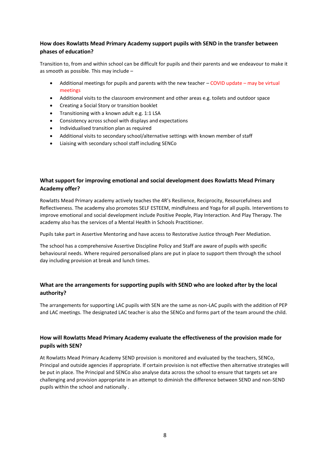# **How does Rowlatts Mead Primary Academy support pupils with SEND in the transfer between phases of education?**

Transition to, from and within school can be difficult for pupils and their parents and we endeavour to make it as smooth as possible. This may include –

- Additional meetings for pupils and parents with the new teacher COVID update may be virtual meetings
- Additional visits to the classroom environment and other areas e.g. toilets and outdoor space
- Creating a Social Story or transition booklet
- Transitioning with a known adult e.g. 1:1 LSA
- Consistency across school with displays and expectations
- Individualised transition plan as required
- Additional visits to secondary school/alternative settings with known member of staff
- Liaising with secondary school staff including SENCo

# **What support for improving emotional and social development does Rowlatts Mead Primary Academy offer?**

Rowlatts Mead Primary academy actively teaches the 4R's Resilience, Reciprocity, Resourcefulness and Reflectiveness. The academy also promotes SELF ESTEEM, mindfulness and Yoga for all pupils. Interventions to improve emotional and social development include Positive People, Play Interaction. And Play Therapy. The academy also has the services of a Mental Health in Schools Practitioner.

Pupils take part in Assertive Mentoring and have access to Restorative Justice through Peer Mediation.

The school has a comprehensive Assertive Discipline Policy and Staff are aware of pupils with specific behavioural needs. Where required personalised plans are put in place to support them through the school day including provision at break and lunch times.

## **What are the arrangements for supporting pupils with SEND who are looked after by the local authority?**

The arrangements for supporting LAC pupils with SEN are the same as non-LAC pupils with the addition of PEP and LAC meetings. The designated LAC teacher is also the SENCo and forms part of the team around the child.

# **How will Rowlatts Mead Primary Academy evaluate the effectiveness of the provision made for pupils with SEN?**

At Rowlatts Mead Primary Academy SEND provision is monitored and evaluated by the teachers, SENCo, Principal and outside agencies if appropriate. If certain provision is not effective then alternative strategies will be put in place. The Principal and SENCo also analyse data across the school to ensure that targets set are challenging and provision appropriate in an attempt to diminish the difference between SEND and non-SEND pupils within the school and nationally .